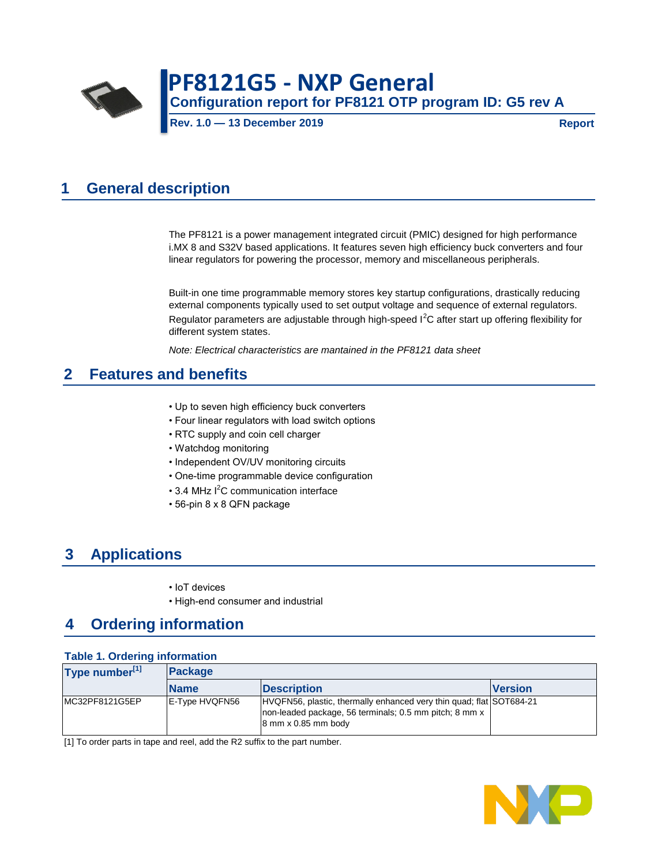

# **Configuration report for PF8121 OTP program ID: G5 rev A PF8121G5 - NXP General**

**Rev. 1.0 — 13 December 2019**

**Report**

# **1 General description**

The PF8121 is a power management integrated circuit (PMIC) designed for high performance i.MX 8 and S32V based applications. It features seven high efficiency buck converters and four linear regulators for powering the processor, memory and miscellaneous peripherals.

Built-in one time programmable memory stores key startup configurations, drastically reducing external components typically used to set output voltage and sequence of external regulators. Regulator parameters are adjustable through high-speed I<sup>2</sup>C after start up offering flexibility for different system states.

*Note: Electrical characteristics are mantained in the PF8121 data sheet*

# **2 Features and benefits**

- Up to seven high efficiency buck converters
- Four linear regulators with load switch options
- RTC supply and coin cell charger
- Watchdog monitoring
- Independent OV/UV monitoring circuits
- One-time programmable device configuration
- $\cdot$  3.4 MHz I<sup>2</sup>C communication interface
- 56-pin 8 x 8 QFN package

# **3 Applications**

- IoT devices
- High-end consumer and industrial

### **4 Ordering information**

#### **Table 1. Ordering information**

| Type number <sup>[1]</sup> | <b>Package</b> |                                                                                                                                                                             |                |
|----------------------------|----------------|-----------------------------------------------------------------------------------------------------------------------------------------------------------------------------|----------------|
|                            | <b>Name</b>    | <b>Description</b>                                                                                                                                                          | <b>Version</b> |
| MC32PF8121G5EP             | E-Type HVQFN56 | HVQFN56, plastic, thermally enhanced very thin quad; flat SOT684-21<br>non-leaded package, 56 terminals; 0.5 mm pitch; 8 mm x<br>$8 \text{ mm} \times 0.85 \text{ mm}$ body |                |

[1] To order parts in tape and reel, add the R2 suffix to the part number.

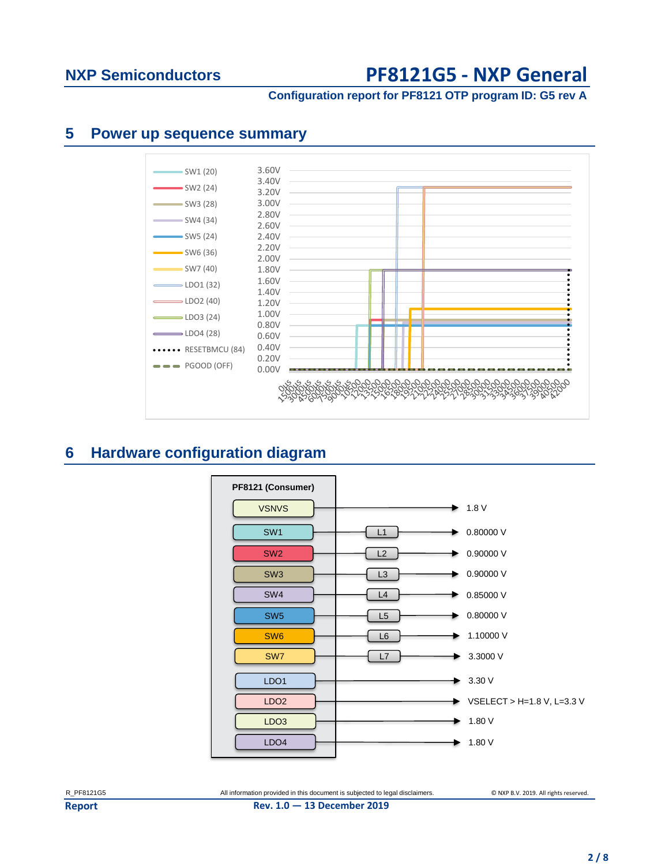### **Configuration report for PF8121 OTP program ID: G5 rev A**

### **5 Power up sequence summary**



# **6 Hardware configuration diagram**

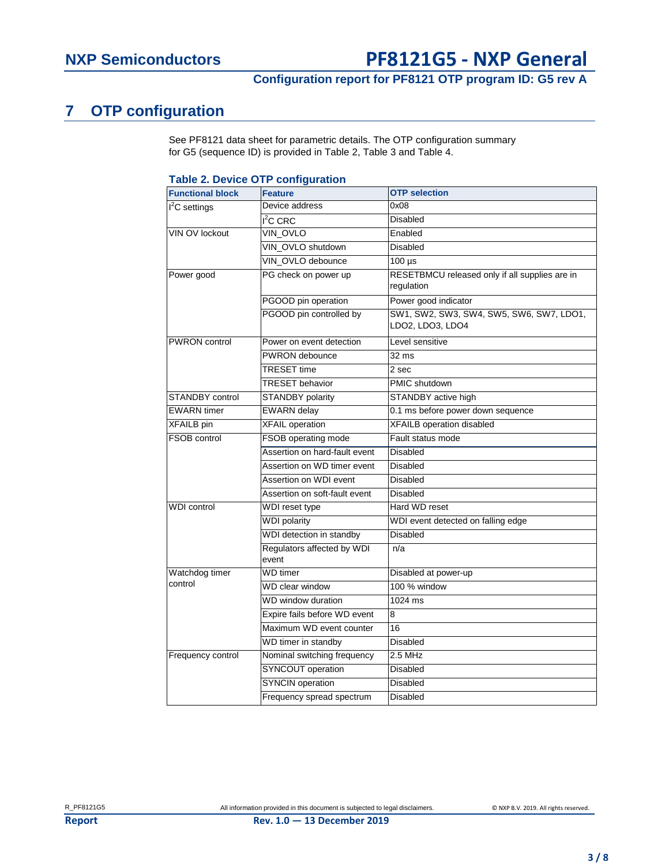### **Configuration report for PF8121 OTP program ID: G5 rev A**

# **7 OTP configuration**

See PF8121 data sheet for parametric details. The OTP configuration summary for G5 (sequence ID) is provided in Table 2, Table 3 and Table 4.

#### **Table 2. Device OTP configuration**

| <b>Functional block</b> | <b>Feature</b>                      | <b>OTP</b> selection                                         |
|-------------------------|-------------------------------------|--------------------------------------------------------------|
| $I2C$ settings          | Device address                      | 0x08                                                         |
|                         | $I2C$ CRC                           | <b>Disabled</b>                                              |
| VIN OV lockout          | VIN_OVLO                            | Enabled                                                      |
|                         | VIN_OVLO shutdown                   | <b>Disabled</b>                                              |
|                         | VIN_OVLO debounce                   | $100 \mu s$                                                  |
| Power good              | PG check on power up                | RESETBMCU released only if all supplies are in<br>regulation |
|                         | PGOOD pin operation                 | Power good indicator                                         |
|                         | PGOOD pin controlled by             | SW1, SW2, SW3, SW4, SW5, SW6, SW7, LDO1,<br>LDO2, LDO3, LDO4 |
| <b>PWRON</b> control    | Power on event detection            | Level sensitive                                              |
|                         | PWRON debounce                      | 32 <sub>ms</sub>                                             |
|                         | <b>TRESET time</b>                  | 2 sec                                                        |
|                         | <b>TRESET</b> behavior              | PMIC shutdown                                                |
| <b>STANDBY control</b>  | STANDBY polarity                    | STANDBY active high                                          |
| <b>EWARN</b> timer      | <b>EWARN</b> delay                  | 0.1 ms before power down sequence                            |
| <b>XFAILB</b> pin       | <b>XFAIL</b> operation              | <b>XFAILB</b> operation disabled                             |
| <b>FSOB control</b>     | FSOB operating mode                 | Fault status mode                                            |
|                         | Assertion on hard-fault event       | <b>Disabled</b>                                              |
|                         | Assertion on WD timer event         | Disabled                                                     |
|                         | Assertion on WDI event              | Disabled                                                     |
|                         | Assertion on soft-fault event       | <b>Disabled</b>                                              |
| <b>WDI</b> control      | WDI reset type                      | Hard WD reset                                                |
|                         | <b>WDI</b> polarity                 | WDI event detected on falling edge                           |
|                         | WDI detection in standby            | <b>Disabled</b>                                              |
|                         | Regulators affected by WDI<br>event | n/a                                                          |
| Watchdog timer          | <b>WD</b> timer                     | Disabled at power-up                                         |
| control                 | WD clear window                     | 100 % window                                                 |
|                         | <b>WD</b> window duration           | 1024 ms                                                      |
|                         | Expire fails before WD event        | 8                                                            |
|                         | Maximum WD event counter            | 16                                                           |
|                         | WD timer in standby                 | <b>Disabled</b>                                              |
| Frequency control       | Nominal switching frequency         | 2.5 MHz                                                      |
|                         | <b>SYNCOUT</b> operation            | Disabled                                                     |
|                         | <b>SYNCIN</b> operation             | Disabled                                                     |
|                         | Frequency spread spectrum           | Disabled                                                     |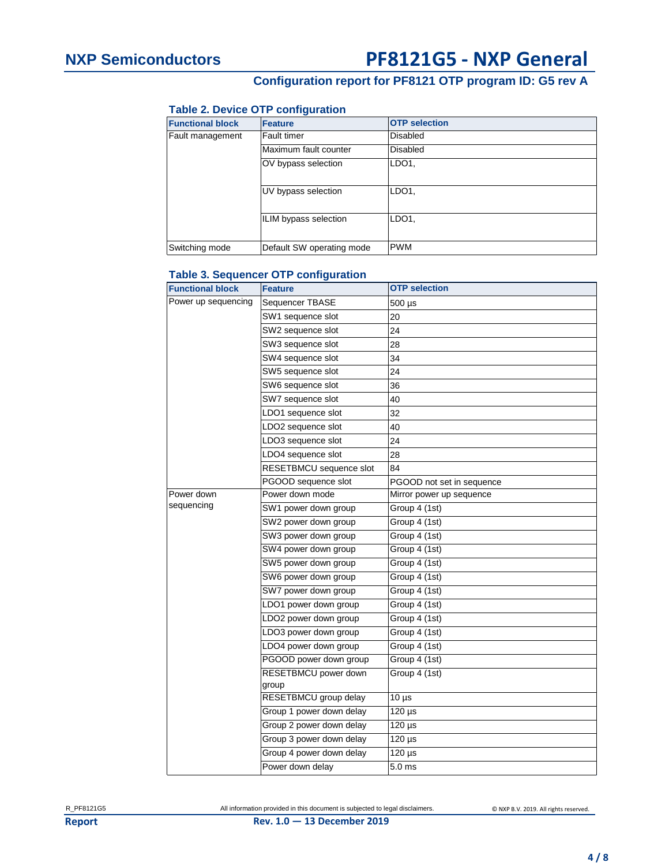### **Configuration report for PF8121 OTP program ID: G5 rev A**

### **Table 2. Device OTP configuration**

| <b>Functional block</b> | Feature                   | <b>OTP</b> selection |
|-------------------------|---------------------------|----------------------|
| Fault management        | Fault timer               | <b>Disabled</b>      |
|                         | Maximum fault counter     | <b>Disabled</b>      |
|                         | OV bypass selection       | LDO <sub>1</sub>     |
|                         | UV bypass selection       | LDO <sub>1</sub>     |
|                         | ILIM bypass selection     | LDO <sub>1</sub>     |
| Switching mode          | Default SW operating mode | <b>PWM</b>           |

### **Table 3. Sequencer OTP configuration**

| <b>Functional block</b> | <b>Feature</b>                | <b>OTP</b> selection      |
|-------------------------|-------------------------------|---------------------------|
| Power up sequencing     | Sequencer TBASE               | 500 µs                    |
|                         | SW1 sequence slot             | 20                        |
|                         | SW2 sequence slot             | 24                        |
|                         | SW3 sequence slot             | 28                        |
|                         | SW4 sequence slot             | 34                        |
|                         | SW5 sequence slot             | 24                        |
|                         | SW6 sequence slot             | 36                        |
|                         | SW7 sequence slot             | 40                        |
|                         | LDO1 sequence slot            | 32                        |
|                         | LDO2 sequence slot            | 40                        |
|                         | LDO3 sequence slot            | 24                        |
|                         | LDO4 sequence slot            | 28                        |
|                         | RESETBMCU sequence slot       | 84                        |
|                         | PGOOD sequence slot           | PGOOD not set in sequence |
| Power down              | Power down mode               | Mirror power up sequence  |
| sequencing              | SW1 power down group          | Group 4 (1st)             |
|                         | SW2 power down group          | Group 4 (1st)             |
|                         | SW3 power down group          | Group 4 (1st)             |
|                         | SW4 power down group          | Group 4 (1st)             |
|                         | SW5 power down group          | Group 4 (1st)             |
|                         | SW6 power down group          | Group 4 (1st)             |
|                         | SW7 power down group          | Group 4 (1st)             |
|                         | LDO1 power down group         | Group 4 (1st)             |
|                         | LDO2 power down group         | Group 4 (1st)             |
|                         | LDO3 power down group         | Group 4 (1st)             |
|                         | LDO4 power down group         | Group 4 (1st)             |
|                         | PGOOD power down group        | Group 4 (1st)             |
|                         | RESETBMCU power down<br>group | Group 4 (1st)             |
|                         | RESETBMCU group delay         | $10 \mu s$                |
|                         | Group 1 power down delay      | $120 \mu s$               |
|                         | Group 2 power down delay      | $120 \mu s$               |
|                         | Group 3 power down delay      | $120 \mu s$               |
|                         | Group 4 power down delay      | $120 \mu s$               |
|                         | Power down delav              | 5.0 <sub>ms</sub>         |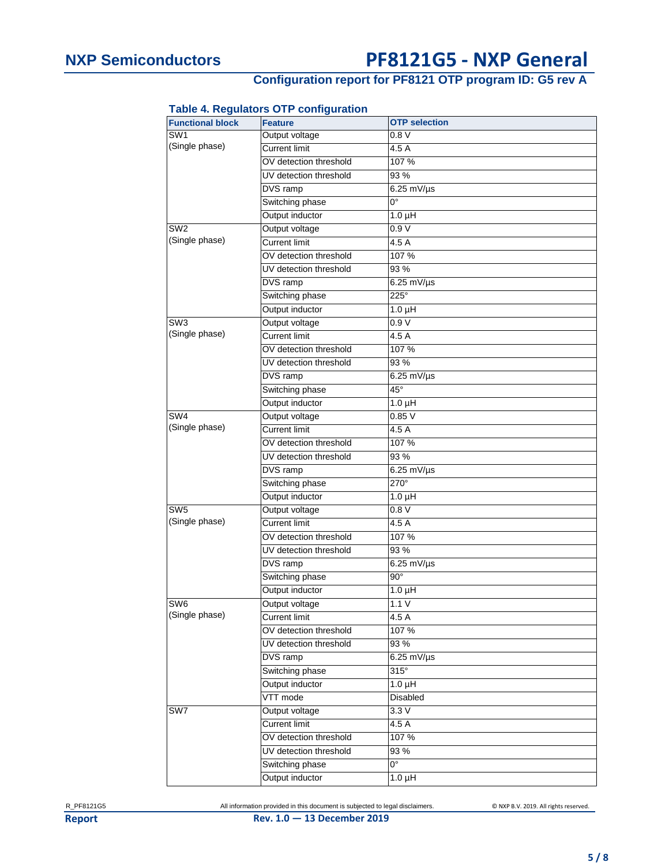# **Configuration report for PF8121 OTP program ID: G5 rev A**

### **Table 4. Regulators OTP configuration**

| <b>Functional block</b> | <b>Feature</b>         | <b>OTP</b> selection |
|-------------------------|------------------------|----------------------|
| SW1                     | Output voltage         | 0.8V                 |
| (Single phase)          | <b>Current limit</b>   | 4.5A                 |
|                         | OV detection threshold | 107 %                |
|                         | UV detection threshold | 93 %                 |
|                         | DVS ramp               | $6.25$ mV/ $\mu$ s   |
|                         | Switching phase        | 0°                   |
|                         | Output inductor        | $1.0 \mu H$          |
| SW <sub>2</sub>         | Output voltage         | 0.9V                 |
| (Single phase)          | <b>Current limit</b>   | 4.5 A                |
|                         | OV detection threshold | 107%                 |
|                         | UV detection threshold | 93%                  |
|                         | DVS ramp               | $6.25$ mV/ $\mu$ s   |
|                         | Switching phase        | 225°                 |
|                         | Output inductor        | $1.0 \mu H$          |
| SW <sub>3</sub>         | Output voltage         | 0.9V                 |
| (Single phase)          | <b>Current limit</b>   | 4.5 A                |
|                         | OV detection threshold | 107%                 |
|                         | UV detection threshold | 93%                  |
|                         | DVS ramp               | $6.25$ mV/ $\mu$ s   |
|                         | Switching phase        | $45^\circ$           |
|                         | Output inductor        | $1.0 \mu H$          |
| SW <sub>4</sub>         | Output voltage         | 0.85V                |
| (Single phase)          | <b>Current limit</b>   | 4.5 A                |
|                         | OV detection threshold | 107%                 |
|                         | UV detection threshold | 93%                  |
|                         | DVS ramp               | $6.25$ mV/ $\mu$ s   |
|                         | Switching phase        | 270°                 |
|                         | Output inductor        | $1.0 \mu H$          |
| SW5                     | Output voltage         | 0.8V                 |
| (Single phase)          | <b>Current limit</b>   | 4.5 A                |
|                         | OV detection threshold | 107%                 |
|                         | UV detection threshold | 93%                  |
|                         | DVS ramp               | $6.25$ mV/ $\mu$ s   |
|                         | Switching phase        | $90^\circ$           |
|                         | Output inductor        | $1.0 \mu H$          |
| SW <sub>6</sub>         | Output voltage         | 1.1V                 |
| (Single phase)          | <b>Current limit</b>   | 4.5 A                |
|                         | OV detection threshold | 107%                 |
|                         | UV detection threshold | 93%                  |
|                         | DVS ramp               | $6.25$ mV/ $\mu$ s   |
|                         | Switching phase        | $315^\circ$          |
|                         | Output inductor        | $1.0 \mu H$          |
|                         | VTT mode               | Disabled             |
| SW7                     | Output voltage         | 3.3V                 |
|                         | <b>Current limit</b>   | 4.5 A                |
|                         | OV detection threshold | 107%                 |
|                         | UV detection threshold | 93%                  |
|                         | Switching phase        | $0^{\circ}$          |
|                         | Output inductor        | $1.0 \mu H$          |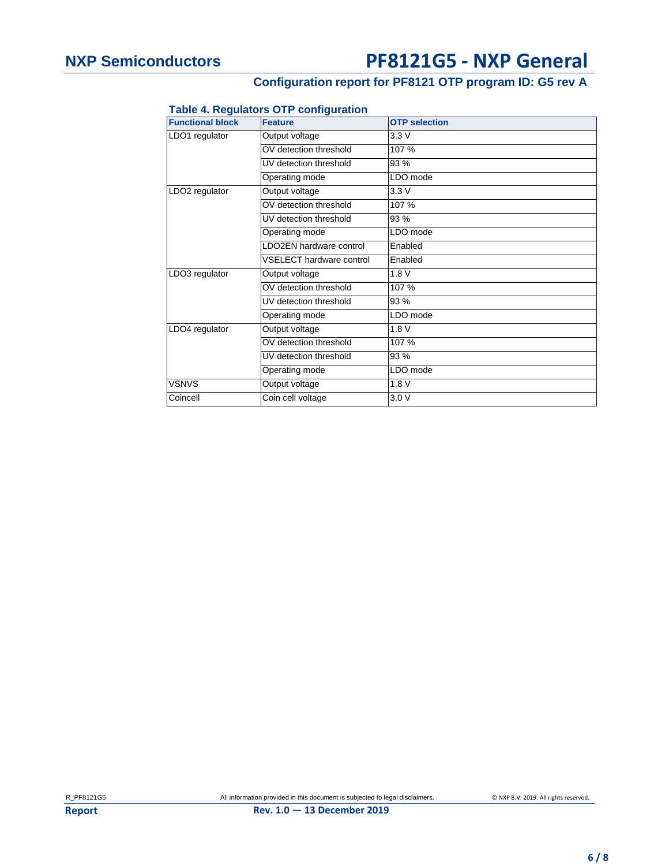### **Configuration report for PF8121 OTP program ID: G5 rev A**

### **Table 4. Regulators OTP configuration**

| <b>Functional block</b>    | <b>Feature</b>                  | <b>OTP</b> selection |
|----------------------------|---------------------------------|----------------------|
| LDO1 regulator             | Output voltage                  | 3.3V                 |
|                            | OV detection threshold          | 107 %                |
|                            | UV detection threshold          | 93%                  |
|                            | Operating mode                  | LDO mode             |
| LDO <sub>2</sub> regulator | Output voltage                  | 3.3V                 |
|                            | OV detection threshold          | 107 %                |
|                            | UV detection threshold          | 93%                  |
|                            | Operating mode                  | LDO mode             |
|                            | LDO2EN hardware control         | Enabled              |
|                            | <b>VSELECT hardware control</b> | Enabled              |
| LDO3 regulator             | Output voltage                  | 1.8V                 |
|                            | OV detection threshold          | 107 %                |
|                            | UV detection threshold          | 93%                  |
|                            | Operating mode                  | LDO mode             |
| LDO4 regulator             | Output voltage                  | 1.8V                 |
|                            | OV detection threshold          | 107 %                |
|                            | UV detection threshold          | 93 %                 |
|                            | Operating mode                  | LDO mode             |
| <b>VSNVS</b>               | Output voltage                  | 1.8V                 |
| Coincell                   | Coin cell voltage               | 3.0V                 |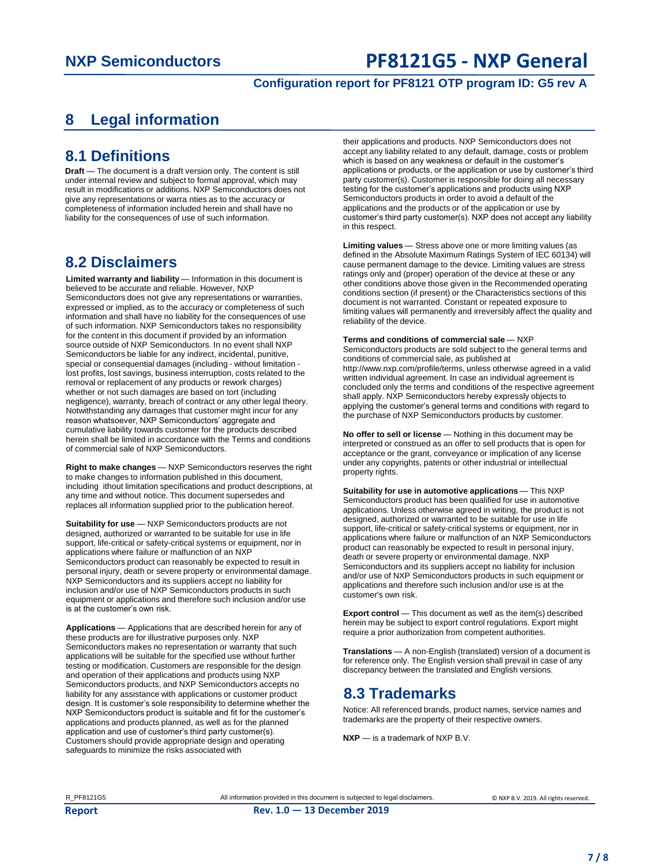### **Configuration report for PF8121 OTP program ID: G5 rev A**

# **8 Legal information**

### **8.1 Definitions**

**Draft** — The document is a draft version only. The content is still under internal review and subject to formal approval, which may result in modifications or additions. NXP Semiconductors does not give any representations or warra nties as to the accuracy or completeness of information included herein and shall have no liability for the consequences of use of such information.

### **8.2 Disclaimers**

Limited warranty and liability - Information in this document is believed to be accurate and reliable. However, NXP Semiconductors does not give any representations or warranties, expressed or implied, as to the accuracy or completeness of such information and shall have no liability for the consequences of use of such information. NXP Semiconductors takes no responsibility for the content in this document if provided by an information source outside of NXP Semiconductors. In no event shall NXP Semiconductors be liable for any indirect, incidental, punitive, special or consequential damages (including - without limitation lost profits, lost savings, business interruption, costs related to the removal or replacement of any products or rework charges) whether or not such damages are based on tort (including negligence), warranty, breach of contract or any other legal theory. Notwithstanding any damages that customer might incur for any reason whatsoever, NXP Semiconductors' aggregate and cumulative liability towards customer for the products described herein shall be limited in accordance with the Terms and conditions of commercial sale of NXP Semiconductors.

**Right to make changes** — NXP Semiconductors reserves the right to make changes to information published in this document, including ithout limitation specifications and product descriptions, at any time and without notice. This document supersedes and replaces all information supplied prior to the publication hereof.

**Suitability for use** - NXP Semiconductors products are not designed, authorized or warranted to be suitable for use in life support, life-critical or safety-critical systems or equipment, nor in applications where failure or malfunction of an NXP Semiconductors product can reasonably be expected to result in personal injury, death or severe property or environmental damage. NXP Semiconductors and its suppliers accept no liability for inclusion and/or use of NXP Semiconductors products in such equipment or applications and therefore such inclusion and/or use is at the customer's own risk.

**Applications** — Applications that are described herein for any of these products are for illustrative purposes only. NXP Semiconductors makes no representation or warranty that such applications will be suitable for the specified use without further testing or modification. Customers are responsible for the design and operation of their applications and products using NXP Semiconductors products, and NXP Semiconductors accepts no liability for any assistance with applications or customer product design. It is customer's sole responsibility to determine whether the NXP Semiconductors product is suitable and fit for the customer's applications and products planned, as well as for the planned application and use of customer's third party customer(s). Customers should provide appropriate design and operating safeguards to minimize the risks associated with

their applications and products. NXP Semiconductors does not accept any liability related to any default, damage, costs or problem which is based on any weakness or default in the customer's applications or products, or the application or use by customer's third party customer(s). Customer is responsible for doing all necessary testing for the customer's applications and products using NXP Semiconductors products in order to avoid a default of the applications and the products or of the application or use by customer's third party customer(s). NXP does not accept any liability in this respect.

**Limiting values** — Stress above one or more limiting values (as defined in the Absolute Maximum Ratings System of IEC 60134) will cause permanent damage to the device. Limiting values are stress ratings only and (proper) operation of the device at these or any other conditions above those given in the Recommended operating conditions section (if present) or the Characteristics sections of this document is not warranted. Constant or repeated exposure to limiting values will permanently and irreversibly affect the quality and reliability of the device.

#### **Terms and conditions of commercial sale** — NXP

Semiconductors products are sold subject to the general terms and conditions of commercial sale, as published at http://www.nxp.com/profile/terms, unless otherwise agreed in a valid written individual agreement. In case an individual agreement is concluded only the terms and conditions of the respective agreement shall apply. NXP Semiconductors hereby expressly objects to applying the customer's general terms and conditions with regard to the purchase of NXP Semiconductors products by customer.

**No offer to sell or license** — Nothing in this document may be interpreted or construed as an offer to sell products that is open for acceptance or the grant, conveyance or implication of any license under any copyrights, patents or other industrial or intellectual property rights.

**Suitability for use in automotive applications** - This NXP Semiconductors product has been qualified for use in automotive applications. Unless otherwise agreed in writing, the product is not designed, authorized or warranted to be suitable for use in life support, life-critical or safety-critical systems or equipment, nor in applications where failure or malfunction of an NXP Semiconductors product can reasonably be expected to result in personal injury, death or severe property or environmental damage. NXP Semiconductors and its suppliers accept no liability for inclusion and/or use of NXP Semiconductors products in such equipment or applications and therefore such inclusion and/or use is at the customer's own risk.

**Export control** — This document as well as the item(s) described herein may be subject to export control regulations. Export might require a prior authorization from competent authorities.

**Translations** — A non-English (translated) version of a document is for reference only. The English version shall prevail in case of any discrepancy between the translated and English versions.

### **8.3 Trademarks**

Notice: All referenced brands, product names, service names and trademarks are the property of their respective owners.

**NXP** — is a trademark of NXP B.V.